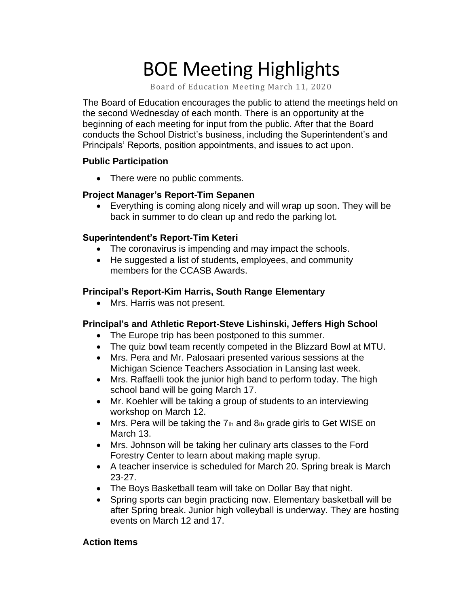# BOE Meeting Highlights

Board of Education Meeting March 11, 2020

 The Board of Education encourages the public to attend the meetings held on the second Wednesday of each month. There is an opportunity at the beginning of each meeting for input from the public. After that the Board conducts the School District's business, including the Superintendent's and Principals' Reports, position appointments, and issues to act upon.

#### **Public Participation**

• There were no public comments.

# **Project Manager's Report-Tim Sepanen**

 • Everything is coming along nicely and will wrap up soon. They will be back in summer to do clean up and redo the parking lot.

## **Superintendent's Report-Tim Keteri**

- The coronavirus is impending and may impact the schools.
- He suggested a list of students, employees, and community members for the CCASB Awards.

## **Principal's Report-Kim Harris, South Range Elementary**

• Mrs. Harris was not present.

# **Principal's and Athletic Report-Steve Lishinski, Jeffers High School**

- The Europe trip has been postponed to this summer.
- The quiz bowl team recently competed in the Blizzard Bowl at MTU.
- • Mrs. Pera and Mr. Palosaari presented various sessions at the Michigan Science Teachers Association in Lansing last week.
- • Mrs. Raffaelli took the junior high band to perform today. The high school band will be going March 17.
- • Mr. Koehler will be taking a group of students to an interviewing workshop on March 12.
- Mrs. Pera will be taking the  $7<sub>th</sub>$  and  $8<sub>th</sub>$  grade girls to Get WISE on March 13.
- • Mrs. Johnson will be taking her culinary arts classes to the Ford Forestry Center to learn about making maple syrup.
- • A teacher inservice is scheduled for March 20. Spring break is March 23-27.
- The Boys Basketball team will take on Dollar Bay that night.
- • Spring sports can begin practicing now. Elementary basketball will be after Spring break. Junior high volleyball is underway. They are hosting events on March 12 and 17.

#### **Action Items**